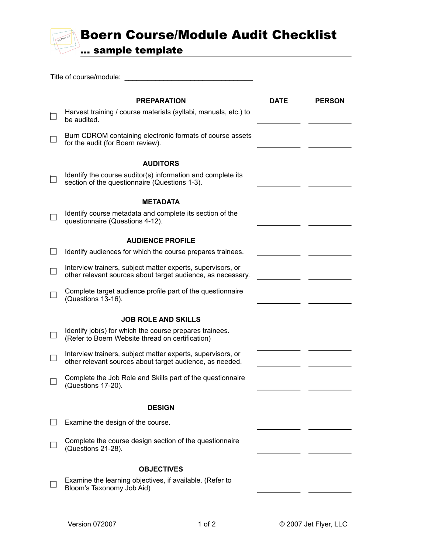## Boern Course/Module Audit Checklist

... sample template

| Title of course/module:                                                                                                    |      |               |  |  |
|----------------------------------------------------------------------------------------------------------------------------|------|---------------|--|--|
|                                                                                                                            |      |               |  |  |
| <b>PREPARATION</b><br>Harvest training / course materials (syllabi, manuals, etc.) to<br>be audited.                       | DATE | <b>PERSON</b> |  |  |
| Burn CDROM containing electronic formats of course assets<br>for the audit (for Boern review).                             |      |               |  |  |
| <b>AUDITORS</b>                                                                                                            |      |               |  |  |
| Identify the course auditor(s) information and complete its<br>section of the questionnaire (Questions 1-3).               |      |               |  |  |
| METADATA                                                                                                                   |      |               |  |  |
| Identify course metadata and complete its section of the<br>questionnaire (Questions 4-12).                                |      |               |  |  |
| <b>AUDIENCE PROFILE</b>                                                                                                    |      |               |  |  |
| Identify audiences for which the course prepares trainees.                                                                 |      |               |  |  |
| Interview trainers, subject matter experts, supervisors, or<br>other relevant sources about target audience, as necessary. |      |               |  |  |
| Complete target audience profile part of the questionnaire<br>(Questions 13-16).                                           |      |               |  |  |
| <b>JOB ROLE AND SKILLS</b>                                                                                                 |      |               |  |  |
| Identify job(s) for which the course prepares trainees.<br>(Refer to Boern Website thread on certification)                |      |               |  |  |
| Interview trainers, subject matter experts, supervisors, or<br>other relevant sources about target audience, as needed.    |      |               |  |  |
| Complete the Job Role and Skills part of the questionnaire<br>(Questions 17-20).                                           |      |               |  |  |
| <b>DESIGN</b>                                                                                                              |      |               |  |  |
| Examine the design of the course.                                                                                          |      |               |  |  |
|                                                                                                                            |      |               |  |  |
| Complete the course design section of the questionnaire<br>(Questions 21-28).                                              |      |               |  |  |
| <b>OBJECTIVES</b>                                                                                                          |      |               |  |  |
| Examine the learning objectives, if available. (Refer to<br>Bloom's Taxonomy Job Aid)                                      |      |               |  |  |
|                                                                                                                            |      |               |  |  |